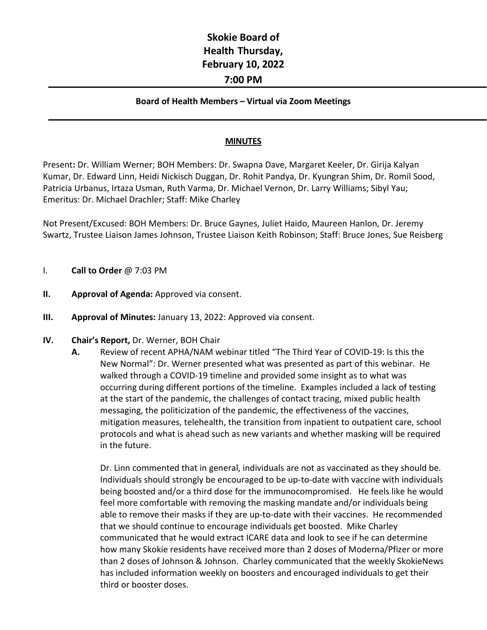## **Skokie Board of Health Thursday, February 10, 2022 7:00 PM**

## **Board of Health Members – Virtual via Zoom Meetings**

## **MINUTES**

Present**:** Dr. William Werner; BOH Members: Dr. Swapna Dave, Margaret Keeler, Dr. Girija Kalyan Kumar, Dr. Edward Linn, Heidi Nickisch Duggan, Dr. Rohit Pandya, Dr. Kyungran Shim, Dr. Romil Sood, Patricia Urbanus, Irtaza Usman, Ruth Varma, Dr. Michael Vernon, Dr. Larry Williams; Sibyl Yau; Emeritus: Dr. Michael Drachler; Staff: Mike Charley

Not Present/Excused: BOH Members: Dr. Bruce Gaynes, Juliet Haido, Maureen Hanlon, Dr. Jeremy Swartz, Trustee Liaison James Johnson, Trustee Liaison Keith Robinson; Staff: Bruce Jones, Sue Reisberg

- I. **Call to Order** @ 7:03 PM
- **II. Approval of Agenda: Approved via consent.**
- **III. Approval of Minutes:** January 13, 2022: Approved via consent.
- **IV. Chair's Report,** Dr. Werner, BOH Chair
	- **A.** Review of recent APHA/NAM webinar titled "The Third Year of COVID-19: Is this the New Normal": Dr. Werner presented what was presented as part of this webinar. He walked through a COVID-19 timeline and provided some insight as to what was occurring during different portions of the timeline. Examples included a lack of testing at the start of the pandemic, the challenges of contact tracing, mixed public health messaging, the politicization of the pandemic, the effectiveness of the vaccines, mitigation measures, telehealth, the transition from inpatient to outpatient care, school protocols and what is ahead such as new variants and whether masking will be required in the future.

Dr. Linn commented that in general, individuals are not as vaccinated as they should be. Individuals should strongly be encouraged to be up-to-date with vaccine with individuals being boosted and/or a third dose for the immunocompromised. He feels like he would feel more comfortable with removing the masking mandate and/or individuals being able to remove their masks if they are up-to-date with their vaccines. He recommended that we should continue to encourage individuals get boosted. Mike Charley communicated that he would extract ICARE data and look to see if he can determine how many Skokie residents have received more than 2 doses of Moderna/Pfizer or more than 2 doses of Johnson & Johnson. Charley communicated that the weekly SkokieNews has included information weekly on boosters and encouraged individuals to get their third or booster doses.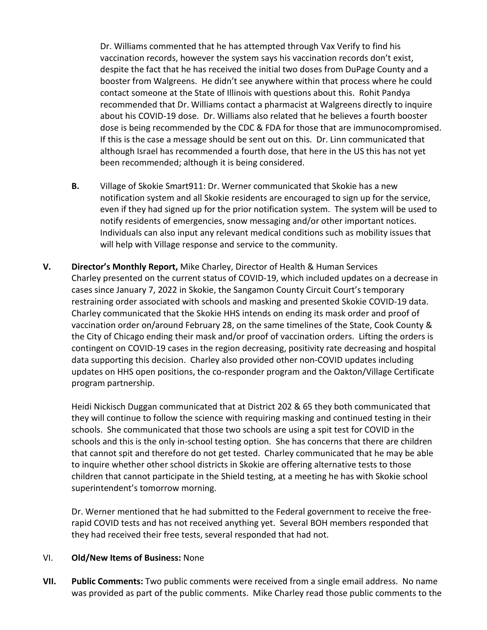Dr. Williams commented that he has attempted through Vax Verify to find his vaccination records, however the system says his vaccination records don't exist, despite the fact that he has received the initial two doses from DuPage County and a booster from Walgreens. He didn't see anywhere within that process where he could contact someone at the State of Illinois with questions about this. Rohit Pandya recommended that Dr. Williams contact a pharmacist at Walgreens directly to inquire about his COVID-19 dose. Dr. Williams also related that he believes a fourth booster dose is being recommended by the CDC & FDA for those that are immunocompromised. If this is the case a message should be sent out on this. Dr. Linn communicated that although Israel has recommended a fourth dose, that here in the US this has not yet been recommended; although it is being considered.

- **B.** Village of Skokie Smart911: Dr. Werner communicated that Skokie has a new notification system and all Skokie residents are encouraged to sign up for the service, even if they had signed up for the prior notification system. The system will be used to notify residents of emergencies, snow messaging and/or other important notices. Individuals can also input any relevant medical conditions such as mobility issues that will help with Village response and service to the community.
- **V. Director's Monthly Report,** Mike Charley, Director of Health & Human Services Charley presented on the current status of COVID-19, which included updates on a decrease in cases since January 7, 2022 in Skokie, the Sangamon County Circuit Court's temporary restraining order associated with schools and masking and presented Skokie COVID-19 data. Charley communicated that the Skokie HHS intends on ending its mask order and proof of vaccination order on/around February 28, on the same timelines of the State, Cook County & the City of Chicago ending their mask and/or proof of vaccination orders. Lifting the orders is contingent on COVID-19 cases in the region decreasing, positivity rate decreasing and hospital data supporting this decision. Charley also provided other non-COVID updates including updates on HHS open positions, the co-responder program and the Oakton/Village Certificate program partnership.

Heidi Nickisch Duggan communicated that at District 202 & 65 they both communicated that they will continue to follow the science with requiring masking and continued testing in their schools. She communicated that those two schools are using a spit test for COVID in the schools and this is the only in-school testing option. She has concerns that there are children that cannot spit and therefore do not get tested. Charley communicated that he may be able to inquire whether other school districts in Skokie are offering alternative tests to those children that cannot participate in the Shield testing, at a meeting he has with Skokie school superintendent's tomorrow morning.

Dr. Werner mentioned that he had submitted to the Federal government to receive the freerapid COVID tests and has not received anything yet. Several BOH members responded that they had received their free tests, several responded that had not.

## VI. **Old/New Items of Business:** None

**VII. Public Comments:** Two public comments were received from a single email address. No name was provided as part of the public comments. Mike Charley read those public comments to the